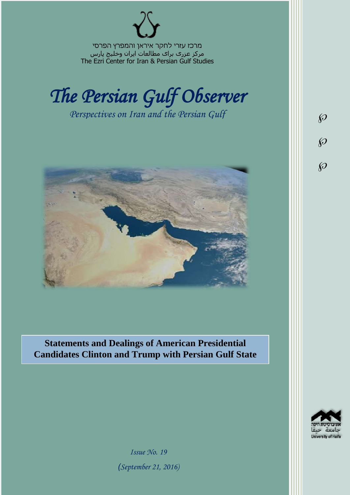מרכז עזרי לחקר איראן והמפרץ הפרסי مرکز عزری برای مطالعات ایران وخلیج پارس The Ezri Center for Iran & Persian Gulf Studies



*Perspectives on Iran and the Persian Gulf* 



**Statements and Dealings of American Presidential Candidates Clinton and Trump with Persian Gulf State**

University of Haifa

 $\wp$ 

 $\wp$ 

 $\wp$ 

*Issue No. 19 )September 21, 2016)*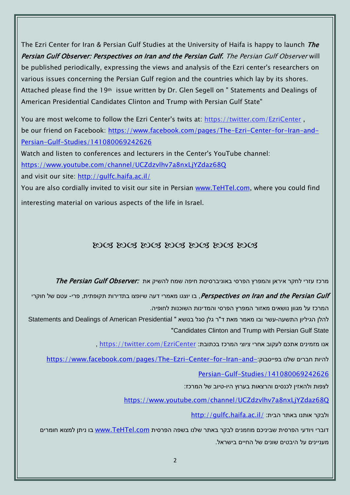The Ezri Center for Iran & Persian Gulf Studies at the University of Haifa is happy to launch The Persian Gulf Observer: Perspectives on Iran and the Persian Gulf. The Persian Gulf Observer will be published periodically, expressing the views and analysis of the Ezri center's researchers on various issues concerning the Persian Gulf region and the countries which lay by its shores. Attached please find the 19th issue written by Dr. Glen Segell on " Statements and Dealings of American Presidential Candidates Clinton and Trump with Persian Gulf State"

You are most welcome to follow the Ezri Center's twits at: <https://twitter.com/EzriCenter> , be our friend on Facebook: [https://www.facebook.com/pages/The-Ezri-Center-for-Iran-and-](https://www.facebook.com/pages/The-Ezri-Center-for-Iran-and-Persian-Gulf-Studies/141080069242626)[Persian-Gulf-Studies/141080069242626](https://www.facebook.com/pages/The-Ezri-Center-for-Iran-and-Persian-Gulf-Studies/141080069242626)

Watch and listen to conferences and lecturers in the Center's YouTube channel:

<https://www.youtube.com/channel/UCZdzvlhv7a8nxLjYZdaz68Q>

and visit our site:<http://gulfc.haifa.ac.il/>

You are also cordially invited to visit our site in Persian [www.TeHTel.com,](http://www.tehtel.com/) where you could find interesting material on various aspects of the life in Israel.

## DOG DOG DOG DOG DOG DOG DOG

מרכז עזרי לחקר איראן והמפרץ הפרסי באוניברסיטת חיפה שמח להשיק את :The Persian Gulf Observer

Perspectives on Iran and the Persian Gulf , בו יוצגו מאמרי דעה שיופצו בתדירות תקופתית, פרי- עטם של חוקרי המרכז על מגוון נושאים מאזור המפרץ הפרסי והמדינות השוכנות לחופיה.

להלן הגיליון התשעה-עשר ובו מאמר מאת ד"ר גלן סגל בנושא " Statements and Dealings of American Presidential "Candidates Clinton and Trump with Persian Gulf State

, https://twitter.com/EzriCenter אנו מזמינים אתכם לעקוב אחרי ציוצי המרכז בכתובת:

[https://www.facebook.com/pages/The-Ezri-Center-for-Iran-and-](https://www.facebook.com/pages/The-Ezri-Center-for-Iran-and-Persian-Gulf-Studies/141080069242626)

[Persian-Gulf-Studies/141080069242626](https://www.facebook.com/pages/The-Ezri-Center-for-Iran-and-Persian-Gulf-Studies/141080069242626)

לצפות ולהאזין לכנסים והרצאות בערוץ היו-טיוב של המרכז:

<https://www.youtube.com/channel/UCZdzvlhv7a8nxLjYZdaz68Q>

<http://gulfc.haifa.ac.il/> ולבקר אותנו באתר הבית

דוברי ויודעי הפרסית שביניכם מוזמנים לבקר באתר שלנו בשפה הפרסית [com.TeHTel.www](http://www.tehtel.com/) בו ניתן למצוא חומרים מעניינים על היבטים שונים של החיים בישראל.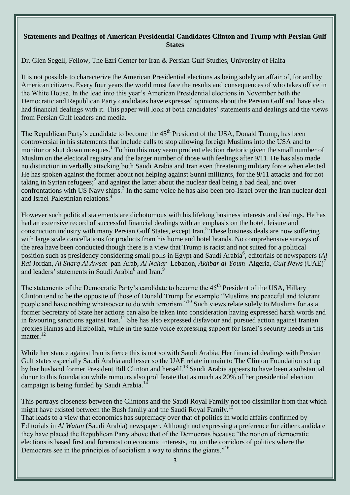## **Statements and Dealings of American Presidential Candidates Clinton and Trump with Persian Gulf States**

Dr. Glen Segell, Fellow, The Ezri Center for Iran & Persian Gulf Studies, University of Haifa

It is not possible to characterize the American Presidential elections as being solely an affair of, for and by American citizens. Every four years the world must face the results and consequences of who takes office in the White House. In the lead into this year's American Presidential elections in November both the Democratic and Republican Party candidates have expressed opinions about the Persian Gulf and have also had financial dealings with it. This paper will look at both candidates' statements and dealings and the views from Persian Gulf leaders and media.

The Republican Party's candidate to become the 45<sup>th</sup> President of the USA, Donald Trump, has been controversial in his statements that include calls to stop allowing foreign Muslims into the USA and to monitor or shut down mosques.<sup>1</sup> To him this may seem prudent election rhetoric given the small number of Muslim on the electoral registry and the larger number of those with feelings after 9/11. He has also made no distinction in verbally attacking both Saudi Arabia and Iran even threatening military force when elected. He has spoken against the former about not helping against Sunni militants, for the 9/11 attacks and for not taking in Syrian refugees;<sup>2</sup> and against the latter about the nuclear deal being a bad deal, and over confrontations with US Navy ships.<sup>3</sup> In the same voice he has also been pro-Israel over the Iran nuclear deal and Israel-Palestinian relations.<sup>4</sup>

However such political statements are dichotomous with his lifelong business interests and dealings. He has had an extensive record of successful financial dealings with an emphasis on the hotel, leisure and construction industry with many Persian Gulf States, except Iran.<sup>5</sup> These business deals are now suffering with large scale cancellations for products from his home and hotel brands. No comprehensive surveys of the area have been conducted though there is a view that Trump is racist and not suited for a political position such as presidency considering small polls in Egypt and Saudi Arabia<sup>6</sup>, editorials of newspapers (*Al Rai* Jordan, *Al Sharq Al Awsat* pan-Arab, *Al Nahar* Lebanon, *Akhbar al-Youm* Algeria, *Gulf News* (UAE)<sup>7</sup> and leaders' statements in Saudi Arabia<sup>8</sup> and Iran.<sup>9</sup>

The statements of the Democratic Party's candidate to become the 45<sup>th</sup> President of the USA, Hillary Clinton tend to be the opposite of those of Donald Trump for example "Muslims are peaceful and tolerant people and have nothing whatsoever to do with terrorism."<sup>10</sup> Such views relate solely to Muslims for as a former Secretary of State her actions can also be taken into consideration having expressed harsh words and in favouring sanctions against Iran.<sup>11</sup> She has also expressed disfavour and pursued action against Iranian proxies Hamas and Hizbollah, while in the same voice expressing support for Israel's security needs in this matter.<sup>12</sup>

While her stance against Iran is fierce this is not so with Saudi Arabia. Her financial dealings with Persian Gulf states especially Saudi Arabia and lesser so the UAE relate in main to The Clinton Foundation set up by her husband former President Bill Clinton and herself.<sup>13</sup> Saudi Arabia appears to have been a substantial donor to this foundation while rumours also proliferate that as much as 20% of her presidential election campaign is being funded by Saudi Arabia.<sup>14</sup>

This portrays closeness between the Clintons and the Saudi Royal Family not too dissimilar from that which might have existed between the Bush family and the Saudi Royal Family.<sup>15</sup>

That leads to a view that economics has supremacy over that of politics in world affairs confirmed by Editorials in *Al Watan* (Saudi Arabia) newspaper. Although not expressing a preference for either candidate they have placed the Republican Party above that of the Democrats because "the notion of democratic elections is based first and foremost on economic interests, not on the corridors of politics where the Democrats see in the principles of socialism a way to shrink the giants."<sup>16</sup>